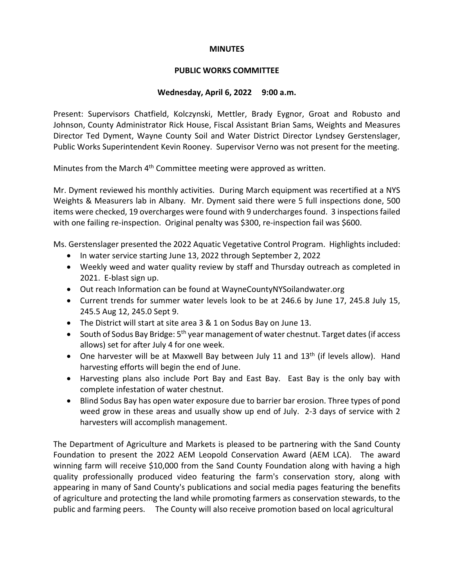# **MINUTES**

# **PUBLIC WORKS COMMITTEE**

# **Wednesday, April 6, 2022 9:00 a.m.**

Present: Supervisors Chatfield, Kolczynski, Mettler, Brady Eygnor, Groat and Robusto and Johnson, County Administrator Rick House, Fiscal Assistant Brian Sams, Weights and Measures Director Ted Dyment, Wayne County Soil and Water District Director Lyndsey Gerstenslager, Public Works Superintendent Kevin Rooney. Supervisor Verno was not present for the meeting.

Minutes from the March  $4<sup>th</sup>$  Committee meeting were approved as written.

Mr. Dyment reviewed his monthly activities. During March equipment was recertified at a NYS Weights & Measurers lab in Albany. Mr. Dyment said there were 5 full inspections done, 500 items were checked, 19 overcharges were found with 9 undercharges found. 3 inspections failed with one failing re-inspection. Original penalty was \$300, re-inspection fail was \$600.

Ms. Gerstenslager presented the 2022 Aquatic Vegetative Control Program. Highlights included:

- In water service starting June 13, 2022 through September 2, 2022
- Weekly weed and water quality review by staff and Thursday outreach as completed in 2021. E-blast sign up.
- Out reach Information can be found at WayneCountyNYSoilandwater.org
- Current trends for summer water levels look to be at 246.6 by June 17, 245.8 July 15, 245.5 Aug 12, 245.0 Sept 9.
- The District will start at site area 3 & 1 on Sodus Bay on June 13.
- South of Sodus Bay Bridge: 5<sup>th</sup> year management of water chestnut. Target dates (if access allows) set for after July 4 for one week.
- One harvester will be at Maxwell Bay between July 11 and 13<sup>th</sup> (if levels allow). Hand harvesting efforts will begin the end of June.
- Harvesting plans also include Port Bay and East Bay. East Bay is the only bay with complete infestation of water chestnut.
- Blind Sodus Bay has open water exposure due to barrier bar erosion. Three types of pond weed grow in these areas and usually show up end of July. 2-3 days of service with 2 harvesters will accomplish management.

The Department of Agriculture and Markets is pleased to be partnering with the Sand County Foundation to present the 2022 AEM Leopold Conservation Award (AEM LCA). The award winning farm will receive \$10,000 from the Sand County Foundation along with having a high quality professionally produced video featuring the farm's conservation story, along with appearing in many of Sand County's publications and social media pages featuring the benefits of agriculture and protecting the land while promoting farmers as conservation stewards, to the public and farming peers. The County will also receive promotion based on local agricultural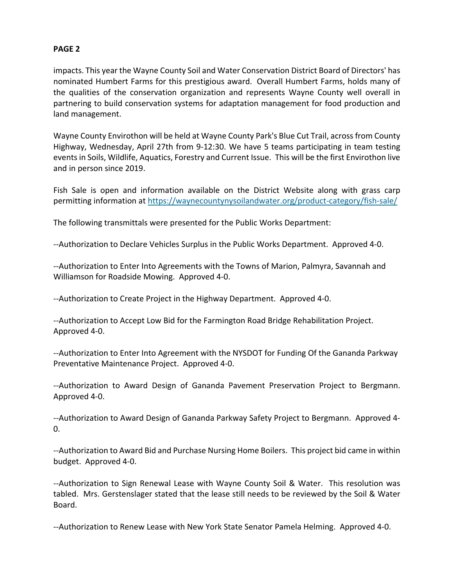# **PAGE 2**

impacts. This year the Wayne County Soil and Water Conservation District Board of Directors' has nominated Humbert Farms for this prestigious award. Overall Humbert Farms, holds many of the qualities of the conservation organization and represents Wayne County well overall in partnering to build conservation systems for adaptation management for food production and land management.

Wayne County Envirothon will be held at Wayne County Park's Blue Cut Trail, across from County Highway, Wednesday, April 27th from 9-12:30. We have 5 teams participating in team testing events in Soils, Wildlife, Aquatics, Forestry and Current Issue. This will be the first Envirothon live and in person since 2019.

Fish Sale is open and information available on the District Website along with grass carp permitting information at <https://waynecountynysoilandwater.org/product-category/fish-sale/>

The following transmittals were presented for the Public Works Department:

--Authorization to Declare Vehicles Surplus in the Public Works Department. Approved 4-0.

--Authorization to Enter Into Agreements with the Towns of Marion, Palmyra, Savannah and Williamson for Roadside Mowing. Approved 4-0.

--Authorization to Create Project in the Highway Department. Approved 4-0.

--Authorization to Accept Low Bid for the Farmington Road Bridge Rehabilitation Project. Approved 4-0.

--Authorization to Enter Into Agreement with the NYSDOT for Funding Of the Gananda Parkway Preventative Maintenance Project. Approved 4-0.

--Authorization to Award Design of Gananda Pavement Preservation Project to Bergmann. Approved 4-0.

--Authorization to Award Design of Gananda Parkway Safety Project to Bergmann. Approved 4- 0.

--Authorization to Award Bid and Purchase Nursing Home Boilers. This project bid came in within budget. Approved 4-0.

--Authorization to Sign Renewal Lease with Wayne County Soil & Water. This resolution was tabled. Mrs. Gerstenslager stated that the lease still needs to be reviewed by the Soil & Water Board.

--Authorization to Renew Lease with New York State Senator Pamela Helming. Approved 4-0.